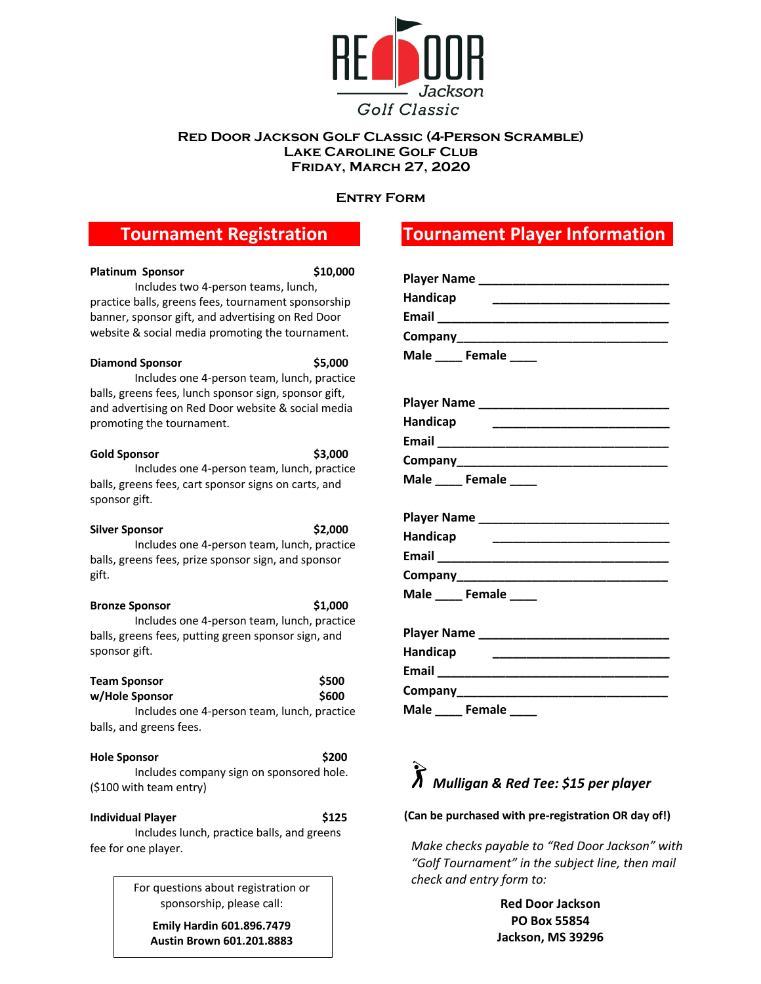

#### **Red Door Jackson Golf Classic (4-Person Scramble) Lake Caroline Golf Club Friday, March 27, 2020**

#### **Entry Form**

## **Tournament Registration**

| <b>Platinum Sponsor</b>                                                                                                                                                                                           | \$10,000       |
|-------------------------------------------------------------------------------------------------------------------------------------------------------------------------------------------------------------------|----------------|
| Includes two 4-person teams, lunch,<br>practice balls, greens fees, tournament sponsorship<br>banner, sponsor gift, and advertising on Red Door<br>website & social media promoting the tournament.               |                |
| <b>Diamond Sponsor</b><br>Includes one 4-person team, lunch, practice<br>balls, greens fees, lunch sponsor sign, sponsor gift,<br>and advertising on Red Door website & social media<br>promoting the tournament. | \$5,000        |
| <b>Gold Sponsor</b><br>Includes one 4-person team, lunch, practice<br>balls, greens fees, cart sponsor signs on carts, and<br>sponsor gift.                                                                       | \$3,000        |
| <b>Silver Sponsor</b><br>Includes one 4-person team, lunch, practice<br>balls, greens fees, prize sponsor sign, and sponsor<br>gift.                                                                              | \$2,000        |
| <b>Bronze Sponsor</b><br>Includes one 4-person team, lunch, practice<br>balls, greens fees, putting green sponsor sign, and<br>sponsor gift.                                                                      | \$1,000        |
| <b>Team Sponsor</b><br>w/Hole Sponsor<br>Includes one 4-person team, lunch, practice<br>balls, and greens fees.                                                                                                   | \$500<br>\$600 |
| <b>Hole Sponsor</b><br>Includes company sign on sponsored hole.<br>(\$100 with team entry)                                                                                                                        | \$200          |
| <b>Individual Player</b><br>Includes lunch, practice balls, and greens<br>fee for one player.                                                                                                                     | \$125          |

For questions about registration or sponsorship, please call:

**Emily Hardin 601.896.7479 Austin Brown 601.201.8883**

# **Tournament Player Information**

| <b>Player Name</b> |  |
|--------------------|--|
| Handicap           |  |
| Email              |  |
|                    |  |
| Male Female        |  |

| <b>Player Name</b> |  |
|--------------------|--|
| Handicap           |  |
| Email              |  |
| Company            |  |
| Male<br>Female     |  |

| <b>Player Name</b> | <u> 1980 - Johann Barbara, martxa alemaniar a</u> |  |
|--------------------|---------------------------------------------------|--|
| Handicap           |                                                   |  |
| Email ___________  |                                                   |  |
|                    |                                                   |  |
| Male Female        |                                                   |  |

| <b>Player Name</b> |  |
|--------------------|--|
| Handicap           |  |
| Email              |  |
| <b>Company</b>     |  |
| Female<br>Male     |  |

# *Mulligan & Red Tee: \$15 per player*

#### **(Can be purchased with pre-registration OR day of!)**

*Make checks payable to "Red Door Jackson" with "Golf Tournament" in the subject line, then mail check and entry form to:* 

> **Red Door Jackson PO Box 55854 Jackson, MS 39296**